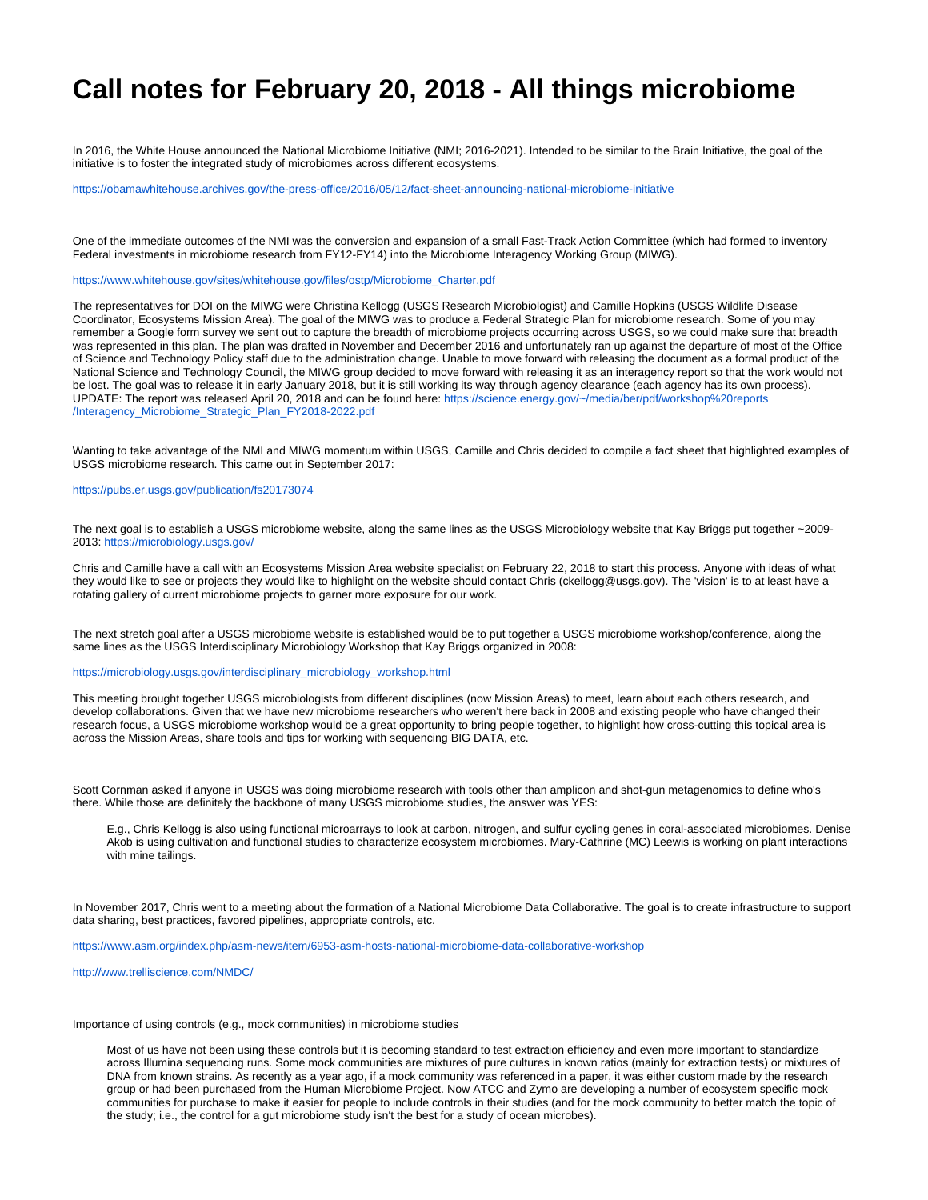## **Call notes for February 20, 2018 - All things microbiome**

In 2016, the White House announced the National Microbiome Initiative (NMI; 2016-2021). Intended to be similar to the Brain Initiative, the goal of the initiative is to foster the integrated study of microbiomes across different ecosystems.

<https://obamawhitehouse.archives.gov/the-press-office/2016/05/12/fact-sheet-announcing-national-microbiome-initiative>

One of the immediate outcomes of the NMI was the conversion and expansion of a small Fast-Track Action Committee (which had formed to inventory Federal investments in microbiome research from FY12-FY14) into the Microbiome Interagency Working Group (MIWG).

[https://www.whitehouse.gov/sites/whitehouse.gov/files/ostp/Microbiome\\_Charter.pdf](https://www.whitehouse.gov/sites/whitehouse.gov/files/ostp/Microbiome_Charter.pdf)

The representatives for DOI on the MIWG were Christina Kellogg (USGS Research Microbiologist) and Camille Hopkins (USGS Wildlife Disease Coordinator, Ecosystems Mission Area). The goal of the MIWG was to produce a Federal Strategic Plan for microbiome research. Some of you may remember a Google form survey we sent out to capture the breadth of microbiome projects occurring across USGS, so we could make sure that breadth was represented in this plan. The plan was drafted in November and December 2016 and unfortunately ran up against the departure of most of the Office of Science and Technology Policy staff due to the administration change. Unable to move forward with releasing the document as a formal product of the National Science and Technology Council, the MIWG group decided to move forward with releasing it as an interagency report so that the work would not be lost. The goal was to release it in early January 2018, but it is still working its way through agency clearance (each agency has its own process). UPDATE: The report was released April 20, 2018 and can be found here: [https://science.energy.gov/~/media/ber/pdf/workshop%20reports](https://science.energy.gov/~/media/ber/pdf/workshop%20reports/Interagency_Microbiome_Strategic_Plan_FY2018-2022.pdf) [/Interagency\\_Microbiome\\_Strategic\\_Plan\\_FY2018-2022.pdf](https://science.energy.gov/~/media/ber/pdf/workshop%20reports/Interagency_Microbiome_Strategic_Plan_FY2018-2022.pdf)

Wanting to take advantage of the NMI and MIWG momentum within USGS, Camille and Chris decided to compile a fact sheet that highlighted examples of USGS microbiome research. This came out in September 2017:

## <https://pubs.er.usgs.gov/publication/fs20173074>

The next goal is to establish a USGS microbiome website, along the same lines as the USGS Microbiology website that Kay Briggs put together ~2009- 2013: <https://microbiology.usgs.gov/>

Chris and Camille have a call with an Ecosystems Mission Area website specialist on February 22, 2018 to start this process. Anyone with ideas of what they would like to see or projects they would like to highlight on the website should contact Chris (ckellogg@usgs.gov). The 'vision' is to at least have a rotating gallery of current microbiome projects to garner more exposure for our work.

The next stretch goal after a USGS microbiome website is established would be to put together a USGS microbiome workshop/conference, along the same lines as the USGS Interdisciplinary Microbiology Workshop that Kay Briggs organized in 2008:

## [https://microbiology.usgs.gov/interdisciplinary\\_microbiology\\_workshop.html](https://microbiology.usgs.gov/interdisciplinary_microbiology_workshop.html)

This meeting brought together USGS microbiologists from different disciplines (now Mission Areas) to meet, learn about each others research, and develop collaborations. Given that we have new microbiome researchers who weren't here back in 2008 and existing people who have changed their research focus, a USGS microbiome workshop would be a great opportunity to bring people together, to highlight how cross-cutting this topical area is across the Mission Areas, share tools and tips for working with sequencing BIG DATA, etc.

Scott Cornman asked if anyone in USGS was doing microbiome research with tools other than amplicon and shot-gun metagenomics to define who's there. While those are definitely the backbone of many USGS microbiome studies, the answer was YES:

E.g., Chris Kellogg is also using functional microarrays to look at carbon, nitrogen, and sulfur cycling genes in coral-associated microbiomes. Denise Akob is using cultivation and functional studies to characterize ecosystem microbiomes. Mary-Cathrine (MC) Leewis is working on plant interactions with mine tailings.

In November 2017, Chris went to a meeting about the formation of a National Microbiome Data Collaborative. The goal is to create infrastructure to support data sharing, best practices, favored pipelines, appropriate controls, etc.

<https://www.asm.org/index.php/asm-news/item/6953-asm-hosts-national-microbiome-data-collaborative-workshop>

<http://www.trelliscience.com/NMDC/>

Importance of using controls (e.g., mock communities) in microbiome studies

Most of us have not been using these controls but it is becoming standard to test extraction efficiency and even more important to standardize across Illumina sequencing runs. Some mock communities are mixtures of pure cultures in known ratios (mainly for extraction tests) or mixtures of DNA from known strains. As recently as a year ago, if a mock community was referenced in a paper, it was either custom made by the research group or had been purchased from the Human Microbiome Project. Now ATCC and Zymo are developing a number of ecosystem specific mock communities for purchase to make it easier for people to include controls in their studies (and for the mock community to better match the topic of the study; i.e., the control for a gut microbiome study isn't the best for a study of ocean microbes).